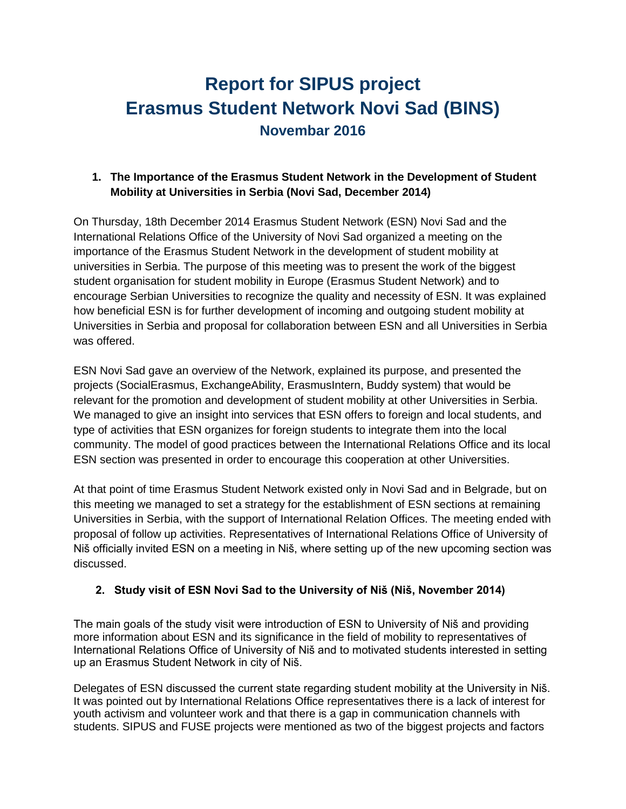# **Report for SIPUS project Erasmus Student Network Novi Sad (BINS) Novembar 2016**

### **1. The Importance of the Erasmus Student Network in the Development of Student Mobility at Universities in Serbia (Novi Sad, December 2014)**

On Thursday, 18th December 2014 Erasmus Student Network (ESN) Novi Sad and the International Relations Office of the University of Novi Sad organized a meeting on the importance of the Erasmus Student Network in the development of student mobility at universities in Serbia. The purpose of this meeting was to present the work of the biggest student organisation for student mobility in Europe (Erasmus Student Network) and to encourage Serbian Universities to recognize the quality and necessity of ESN. It was explained how beneficial ESN is for further development of incoming and outgoing student mobility at Universities in Serbia and proposal for collaboration between ESN and all Universities in Serbia was offered.

ESN Novi Sad gave an overview of the Network, explained its purpose, and presented the projects (SocialErasmus, ExchangeAbility, ErasmusIntern, Buddy system) that would be relevant for the promotion and development of student mobility at other Universities in Serbia. We managed to give an insight into services that ESN offers to foreign and local students, and type of activities that ESN organizes for foreign students to integrate them into the local community. The model of good practices between the International Relations Office and its local ESN section was presented in order to encourage this cooperation at other Universities.

At that point of time Erasmus Student Network existed only in Novi Sad and in Belgrade, but on this meeting we managed to set a strategy for the establishment of ESN sections at remaining Universities in Serbia, with the support of International Relation Offices. The meeting ended with proposal of follow up activities. Representatives of International Relations Office of University of Niš officially invited ESN on a meeting in Niš, where setting up of the new upcoming section was discussed.

## **2. Study visit of ESN Novi Sad to the University of Niš (Niš, November 2014)**

The main goals of the study visit were introduction of ESN to University of Niš and providing more information about ESN and its significance in the field of mobility to representatives of International Relations Office of University of Niš and to motivated students interested in setting up an Erasmus Student Network in city of Niš.

Delegates of ESN discussed the current state regarding student mobility at the University in Niš. It was pointed out by International Relations Office representatives there is a lack of interest for youth activism and volunteer work and that there is a gap in communication channels with students. SIPUS and FUSE projects were mentioned as two of the biggest projects and factors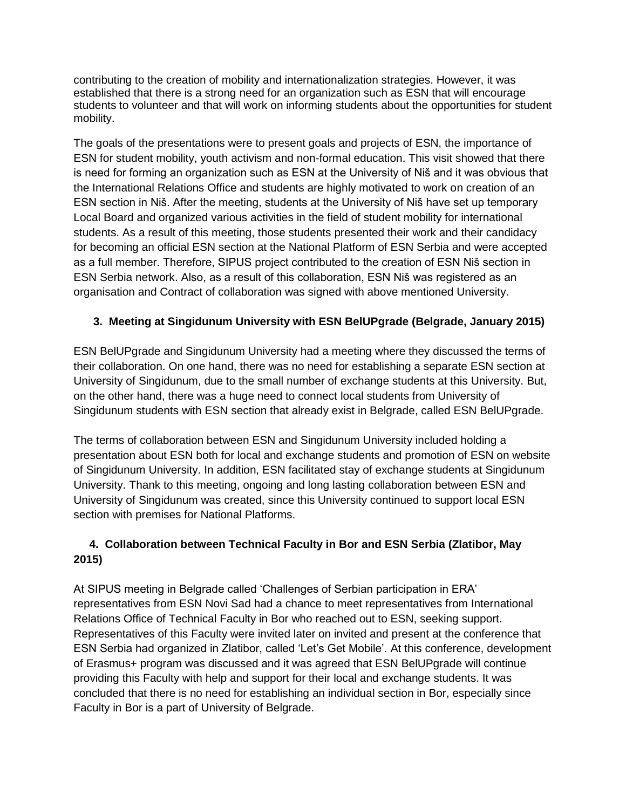contributing to the creation of mobility and internationalization strategies. However, it was established that there is a strong need for an organization such as ESN that will encourage students to volunteer and that will work on informing students about the opportunities for student mobility.

The goals of the presentations were to present goals and projects of ESN, the importance of ESN for student mobility, youth activism and non-formal education. This visit showed that there is need for forming an organization such as ESN at the University of Niš and it was obvious that the International Relations Office and students are highly motivated to work on creation of an ESN section in Niš. After the meeting, students at the University of Niš have set up temporary Local Board and organized various activities in the field of student mobility for international students. As a result of this meeting, those students presented their work and their candidacy for becoming an official ESN section at the National Platform of ESN Serbia and were accepted as a full member. Therefore, SIPUS project contributed to the creation of ESN Niš section in ESN Serbia network. Also, as a result of this collaboration, ESN Niš was registered as an organisation and Contract of collaboration was signed with above mentioned University.

### **3. Meeting at Singidunum University with ESN BelUPgrade (Belgrade, January 2015)**

ESN BelUPgrade and Singidunum University had a meeting where they discussed the terms of their collaboration. On one hand, there was no need for establishing a separate ESN section at University of Singidunum, due to the small number of exchange students at this University. But, on the other hand, there was a huge need to connect local students from University of Singidunum students with ESN section that already exist in Belgrade, called ESN BelUPgrade.

The terms of collaboration between ESN and Singidunum University included holding a presentation about ESN both for local and exchange students and promotion of ESN on website of Singidunum University. In addition, ESN facilitated stay of exchange students at Singidunum University. Thank to this meeting, ongoing and long lasting collaboration between ESN and University of Singidunum was created, since this University continued to support local ESN section with premises for National Platforms.

### **4. Collaboration between Technical Faculty in Bor and ESN Serbia (Zlatibor, May 2015)**

At SIPUS meeting in Belgrade called 'Challenges of Serbian participation in ERA' representatives from ESN Novi Sad had a chance to meet representatives from International Relations Office of Technical Faculty in Bor who reached out to ESN, seeking support. Representatives of this Faculty were invited later on invited and present at the conference that ESN Serbia had organized in Zlatibor, called 'Let's Get Mobile'. At this conference, development of Erasmus+ program was discussed and it was agreed that ESN BelUPgrade will continue providing this Faculty with help and support for their local and exchange students. It was concluded that there is no need for establishing an individual section in Bor, especially since Faculty in Bor is a part of University of Belgrade.